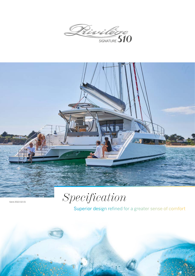



*Specification*

Superior design refined for a greater sense of comfort



Valid 2022.02.01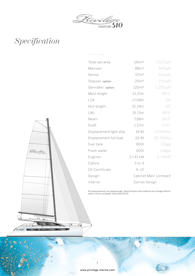



| Total sail area         | 141m <sup>2</sup>    | $1,517$ sqft    |
|-------------------------|----------------------|-----------------|
| Mainsail                | 88m <sup>2</sup>     | 947sqft         |
| Genoa                   | 57m <sup>2</sup>     | 613sqft         |
| Staysail option         | 20m <sup>2</sup>     | 215sqft         |
| Gennaker option         | 120m <sup>2</sup>    | 1,292sqft       |
| Mast length             | 21.21m               | 69'5"           |
| LOA                     | 17.09m               | 56'             |
| Hull length             | 15.24m               | 50'             |
| LWL                     | 15.13m               | 49'8"           |
| Beam                    | 7.98m                | 26'0"           |
| Draft                   | 1.57m                | 5'10''          |
| Displacement light ship | 16.8t                | 37,000lbs       |
| Displacement full load  | 22.8t                | 50,700lbs       |
| Fuel tank               | 8001                 | 211gal          |
| Fresh water             | 6001                 | 158gal          |
| Engines                 | $2 \times 41$ kW     | $2 \times 55HP$ |
| Cabins                  | 3 or 4               |                 |
| CE Certificate          | $A - 12$             |                 |
| Design                  | Cabinet Marc Lombard |                 |
| Interior                | Darnet Design        |                 |

All measurements are approximate. Specifications and material can change without notice. Errors excepted. Valid 2022.02.01

2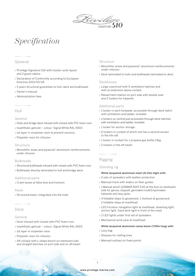

# General

- › Privilège Signature 510 with master suite layout and 2 guest cabins
- › Declaration of Conformity according to European Directive 2013/53/UE
- › 5 years structural guarantee on hull, deck and bulkheads
- › Owner's manual
- › Administration fees

# Hull

## General

- › Hulls and bridge deck infused with closed cells PVC foam core
- › Isophthalic gelcoat colour: Signal White RAL 9003
- › 1st layer in vinylester resin to prevent osmosis
- › Polyester resin for infusion

### **Structure**

› Monolithic areas and plywood/ aluminium reinforcements under infusion

## Bulkheads

- › Structural bulkheads infused with closed cells PVC foam core
- › Bulkheads directly laminated to hull and bridge deck

## Additional parts

› Crash boxes at false bow and transom

### Keels

› Structural keels, integrated into the hulls

# Deck

## General

- › Deck infused with closed cells PVC foam core
- › Isophthalic gelcoat colour: Signal White RAL 9003
- › 1st layer in vinylester resin
- › Polyester resin for infusion
- › Aft cockpit with L-shape bench on starboard side and straight benches on port side and on aft beam

# **Structure**

- › Monolithic areas and plywood/ aluminium reinforcements under infusion
- › Deck laminated to hulls and bulkheads laminated to deck

## Deckhouse

- › Large coachroof with 5 ventilation hatches and with an extension above cockpit
- › Raised helm station on port side with double seat and 2 lockers for halyards

## Additional parts

- › 1 locker in each forepeak, accessible through deck hatch with ventilation and ladder, lockable
- › 2 lockers on central pod accessible through deck hatches with ventilation and ladder, lockable
- › 1 locker for anchor storage
- › 6 lockers in cockpit of which one has a second access to the life raft
- › 1 locker in cockpit for 1 propane gas bottle 13kg
- › 2 lockers in the aft beam

# Rigging

## Standing rig

### White lacquered aluminium mast (21.21m high) with:

- › 2 sets of spreaders with leather protection
- › Mainsail track with sliders on fiber guides
- › 1 Manual winch LEWMAR 50ST EVO at the foot on starboard side for genoa, staysail, gennaker/code0/spinnaker halyards and lazy jacks
- › 4 foldable steps to gooseneck, 1 footrest at gooseneck, 2 foldable steps at masthead
- › LED tricolour navigation light at masthead, steaming light, anchor light, fixed deck light in front of the mast
- › 2 LED lights under first set of spreaders
- › Mechanical wind vane at masthead

### White lacquered aluminium canoe boom (7.09m long) with:

- › Lazy bag
- › Sheaves for reefing lines
- › Mainsail outhaul on fixed points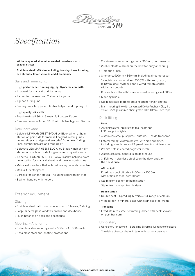

White lacquered aluminium welded crossbeam with seagull striker

Stainless steel 1x19 wire including forestay, inner forestay, cap shrouds, lower shrouds and 4 diamonds

#### Sails and running rig

High performance running rigging, Dyneema core with:

- › 1 halyard for mainsail and for genoa
- › 1 sheet for mainsail and 2 sheets for genoa
- › 1 genoa furling line
- › Reefing lines, lazy jacks, climber halyard and topping lift

#### High quality sails with:

- › Roach mainsail 86m², 3 reefs, full batten, Dacron
- › Genoa on manual furler, 57m², with UV leech guard, Dacron

## Deck hardware

- › 1 elctric LEWMAR 55EST EVO Alloy Black winch at helm station on port side for mainsail halyard, reefing lines, genoa, staysail and gennaker/code0/spinnaker furling lines, climber halyard and topping lift
- › 1 electric LEWMAR 65EST EVO Alloy Black winch at helm station on starboard side for genoa and staysail sheets
- › 1 electric LEWMAR 55EST EVO Alloy Black winch backward helm station for mainsail sheet and traveller control line
- › Mainsheet traveller with double ball bearing car and control line
- › Manual furler for genoa
- › 2 tracks for genoa/ staysail including cars with pin stop
- › 3 winch handles with holders

# Exterior equipment

# Glazing

- › Stainless steel patio door to saloon with 3 leaves, 2 sliding
- › Large mineral glass windows on hull and deckhouse
- › Flush hatches on deck and deckhouse

## Mooring – Anchoring

- › 8 stainless steel mooring cleats, 500mm 4x, 360mm 4x
- › 8 stainless steel anti-chafing protections
- › 2 stainless steel mooring cleats, 360mm, on transoms
- › 2 roller cleats 420mm on the bow for buoy anchoring
- › 4 mooring lines
- › 8 fenders, 910mm x 360mm, including air compressor
- › 1 electric anchor windlass 2000W with drum, gypsy Ø 10mm, deck switches and 1 wired remote control with chain counter
- › Bow anchor roller with 1 stainless steel mooring cleat 500mm
- › Mooring bridle
- › Stainless steel plate to prevent anchor chain chafing
- › Main mooring line with galvanized Delta-Anchor 40kg, flip swivel, 75m galvanized chain grade 70 Ø 10mm, 25m rope

### Deck fitting

### Deck

- › 2 stainless steel pulpits with teak seats and LED navigation lights
- › 4 stainless steel pushpits, 2 outside, 2 inside transoms
- › Lateral railing, 750mm height, with side openings, including stanchions and 3 guard lines in stainless steel
- › 2 white nets in coated polyester mesh
- › 2 stainless steel handrails on deckhouse
- › 3 lifelines in stainless steel, 2 on the deck and 1 on the deckhouse

#### Aft cockpit

- › Fixed teak cockpit table 1400mm x 1000mm with stainless steel central foot
- › Stairs from cockpit to helm station
- › Stairs from cockpit to side deck

### Helm station

- › Double seat Spradling Silvertex, full range of colours
- › Windscreen in mineral glass with stainless steel frame

#### Transoms

› Fixed stainless steel swimming ladder with deck shower on port transom

### Upholstery

- › Upholstery for cockpit Spradling Silvertex, full range of colours
- › 2 foldable director chairs in teak with cotton ecru seats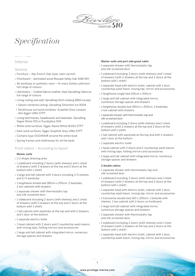

# Interior

## General

- › Furniture Alpi French Oak style, satin varnish
- › Floorboard laminated wood Resopal Valley Oak 4166-WH
- › All worktops in synthetic resin Hi-macs Solids collection full range of colours
- › Upholstery Coated fabrics leather style Spradling Valencia, full range of colours
- › Lining ceiling and wall: Spradling Hitch Iceberg 8962 except:
- Saloon centered ceiling: Spradling Silvertext Ice 4004
- Deckhouse surround windows: Graphite Grey Lacquer dito Egger U961 STPT
- › Lining bed frames, headboards and bedsides: Spradling Vogue Stone 001 or Eucalyptus 004
- › White solid surfaces: Egger Alpine White W1101 STPT
- › Dark solid surfaces: Egger Graphite Grey U961 STPT
- › Curtains type OCEANAIR around the entire boat
- › Spring frames and mattresses for all the beds

## Front cabins – According to layout

### Master suite

- › 1 U-shape dressing area
- › 1 sideboard including 2 doors (with shelves) and 1 chest of drawers (with 2 drawers at the top and 2 doors at the bottom with 1 shelf)
- › 1 large and tall cabinet with 3 doors including 1/3 shelves and 2/3 wardrobe
- › 1 lengthwise double bed 180cm x 200cm, 2 bedsides, 2 low cabinets with drawers
- › 1 separate shower with thermostatic tap and silk-screened door
- › 1 sideboard including 2 doors (with shelves) and 1 chest of drawers (with 2 drawers at the top and 2 doors at the bottom with 1 shelf)
- › 1 tall cabinet with wardrobe at the top and with 2 drawers and 1 door at the bottom
- › 1 separate electric toilet
- › 1 head cabinet with 2 doors and 2 countertop wash basins with mixing taps, folding mirrors and accessories
- › 1 large and tall cabinet with integrated mirror, numerous storage spaces and drawers

#### Master suite and port side guest cabin

- › 1 separate shower with thermostatic tap and silk-screened door
- › 1 sideboard including 2 doors (with shelves) and 1 chest of drawers (with 2 drawers at the top and 2 doors at the bottom with 1 shelf)
- › 1 separate head with electric toilet, cabinet with 1 door, countertop wash basin, mixing tap, mirror and accessories
- › 1 lengthwise single bed 105cm x 200cm
- › 1 large and tall cabinet with integrated mirror, numerous storage spaces and drawers
- › 1 lengthwise double bed 180cm x 200cm, 2 bedsides, 1 low cabinet with drawers
- › 1 separate shower with thermostatic tap and silk-screened door
- › 1 sideboard including 2 doors (with shelves) and 1 chest of drawers (with 2 drawers at the top and 2 doors at the bottom with 1 shelf)
- › 1 tall cabinet with wardrobe at the top and with 2 drawers and 1 door at the bottom
- › 1 separate electric toilet
- › 1 head cabinet with 2 doors and 2 countertop wash basins with mixing taps, folding mirrors and accessories
- › 1 large and tall cabinet with integrated mirror, numerous storage spaces and drawers

### 2 double cabins

- › 1 separate shower with thermostatic tap and silk-screened door
- › 1 sideboard including 2 doors (with shelves) and 1 chest of drawers (with 2 drawers at the top and 2 doors at the bottom with 1 shelf)
- › 1 separate head with electric toilet, cabinet with 1 door, countertop wash basin, mixing tap, mirror and accessories
- › 1 transverse double bed 160 x 200cm, 1 bedside with shelves, 1 low cabinet with 2 doors on footboard
- › 1 large and tall cabinet with integrated mirror, numerous storage spaces and drawers
- › 1 separate shower with thermostatic tap and silk-screened door
- › 1 sideboard including 2 doors (with shelves) and 1 chest of drawers (with 2 drawers at the top and 2 doors at the bottom with 1 shelf)
- › 1 separate head with electric toilet, cabinet with 1 door, countertop wash basin, mixing tap, mirror and accessories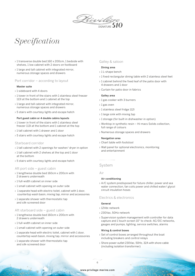

- › 1 transverse double bed 160 x 200cm, 1 bedside with shelves, 1 low cabinet with 2 doors on footboard
- › 1 large and tall cabinet with integrated mirror, numerous storage spaces and drawers

## Port corridor – according to layout

#### Master suite

- › 1 sideboard with 4 doors
- › 1 tower in front of the stairs with 1 stainless steel freezer 113l at the bottom and 1 cabinet at the top
- › 1 large and tall cabinet with integrated mirror, numerous storage spaces and drawers
- › 5 stairs with courtesy lights and escape hatch

#### Port guest cabin or 4 double cabins layouts

- › 1 tower in front of the stairs with 1 stainless steel freezer 113l at the bottom and 1 cabinet at the top
- › 1 tall cabinet with 1 drawer and 1 door
- › 5 stairs with courtesy lights and escape hatch

### Starboard corridor

- › 1 tall cabinet with 2 openings for washer/ dryer in option
- › 1 tall cabinet with 2 shelves at the top and 1 door at the bottom
- › 5 stairs with courtesy lights and escape hatch

### Aft port side – guest cabin

- › 1 lengthwise double bed 160cm x 200cm with 2 drawers underneath
- › 1 full-width cabinet on inner side
- › 1 small cabinet with opening on outer side
- › 1 separate head with electric toilet, cabinet with 1 door, countertop wash basin, mixing tap, mirror and accessories
- › 1 separate shower with thermostatic tap and silk-screened door

### Aft starboard side – guest cabin

- › 1 lengthwise double bed 160cm x 200cm with 2 drawers underneath
- › 1 full-width cabinet on inner side
- › 1 small cabinet with opening on outer side
- › 1 separate head with electric toilet, cabinet with 1 door, countertop wash basin, mixing tap, mirror and accessories
- › 1 separate shower with thermostatic tap and silk-screened door

## Galley & saloon

# Dining area

- › 1 L-shape bench
- › 1 fixed rectangular dining table with 2 stainless steel feet
- › 1 cabinet behind the fixed leaf of the patio door with 4 drawers and 1 door
- › Curtain for patio door in fabrics

## Galley area

- › 1 gas cooker with 3 burners
- › 1 gas oven
- › 1 stainless steel fridge 112l
- › 1 large sink with mixing tap
- › 1 storage (for built-in dishwasher in option)
- › Worktop in synthetic resin Hi-macs Solids collection, full range of colours
- › Numerous storage spaces and drawers

## Navigation area

- › Chart table with footstool
- › Wall panel for optional electronics, monitoring and entertainment

# System

#### Air

## Air conditioning

› A/C system predisposed for future chiller, power and sea water connection, fan coils power and chilled water/ glycol circuit insulation hoses

## Electrics & electronics

## General

- › 12Vdc network
- › 230Vac, 50Hz network
- › Supervision system management with controller for data capture and 1 touch screen 10" to check: AC/DC networks, gauges and pumps, lighting, service switches, alarms

#### Wiring & control boxes

- › Set of control boxes arranged throughout the boat including breakers and control relays
- › Shore power outlet 230Vac, 50Hz, 32A with shore cable (including isolation transformer)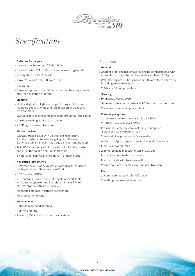

#### Batteries & chargers

- › 4 service gel batteries 200Ah, 12Vdc
- › 3 gel batteries 55Ah, 12Vdc for enginges and generator
- › 1 chargeMaster 100A, 12Vdc
- › 1 inverter AC Master 3500W, 230Vac

#### Generator

› Generator power to be defined according to energy needs and/ or navigation program

#### Lighting

- › LED daylight downlights arranged throughout the boat including cockpit, white and red in saloon and cockpit, with dimmers
- › LED daylight reading lights arranged throughout the cabins
- › 1 flexible reading light at chart table
- › 2 LED lights on each transom

### Electric devices

- › 230Vac, 50Hz circuit with 2 outlets in each cabin, 4 in the master suite, 4 in the galley, 2 in the saloon, 2 at chart table, 1 in each head and 1 in each engine room
- › Twin USB charging A+C: 1 in each cabin, 2 in the master suite, 1 in the saloon and 1 at chart table
- › 1 waterproof twin USB charging A+A at helm station

#### Navigation instruments

- › 2 Raymarine i70s at helm station with DST transducers for Depth/Speed/Temperature/Wind
- › GPS Receiver RS150
- › VHF antenna, 1 wired handset Ray 90 at chart table with passive speaker and 1 wireless handset Ray 90 at helm station with active speaker
- › Magnetic compass, northern hemisphere
- › Mechanical wind vane

#### Entertainment

- › Hertzian masthead antenna
- › AM/FM antenna
- › Prewiring TV and Hifi in saloon and cabins

### Propulsion

## General

- › 2 sound-proof and heat insulated engine compartments, with access from cockpit by hatches, ventilation fans, LED lights
- › 2 Yanmar engines, 57 hp, saildrive SD60, with electric throttles including maintenance kit
- › 2 3-blade folding propellers

#### Steering

- › Hydraulic steering system
- › Stainless steel steering wheel Ø 900mm with leather cover
- › 2 stainless steel emergency tillers

#### Water & gas system

- › 2 stainless steel fresh water tanks, 2 x 300l
- › 2 x 40l hot water boiler 230Vac
- › Pressurised water system including 1 pump and 1 stainless steel expansion tank
- › 2 manual bilge pumps with 3-way-valve
- › 4 electric bilge pumps with visual and audible alarms
- › Electric shower pumps
- › 2 polypropylene blackwater tanks, 2 x 106l
- › Mixing taps for heads and showers
- › Electric toilets with fresh water flush
- › Warm/ cold water deck shower on port transom

#### Fuel

- › 2 aluminium fuel tanks 2x 400l each
- › Transfer pump reversible for fuel

7